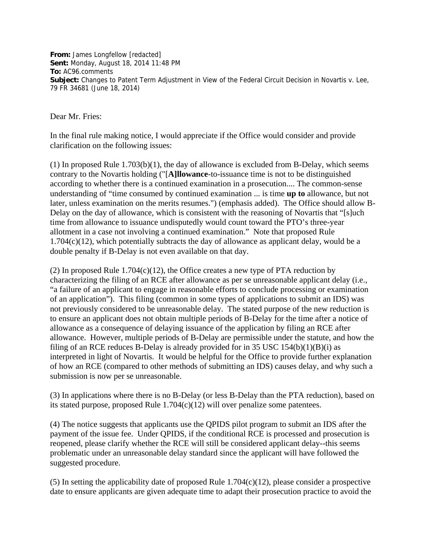**From:** James Longfellow [redacted] **Sent:** Monday, August 18, 2014 11:48 PM **To:** AC96.comments **Subject:** Changes to Patent Term Adjustment in View of the Federal Circuit Decision in Novartis v. Lee, 79 FR 34681 (June 18, 2014)

Dear Mr. Fries:

In the final rule making notice, I would appreciate if the Office would consider and provide clarification on the following issues:

(1) In proposed Rule 1.703(b)(1), the day of allowance is excluded from B-Delay, which seems contrary to the Novartis holding ("[**A]llowance**-to-issuance time is not to be distinguished according to whether there is a continued examination in a prosecution.... The common-sense understanding of "time consumed by continued examination ... is time **up to** allowance, but not later, unless examination on the merits resumes.") (emphasis added). The Office should allow B-Delay on the day of allowance, which is consistent with the reasoning of Novartis that "[s]uch time from allowance to issuance undisputedly would count toward the PTO's three-year allotment in a case not involving a continued examination." Note that proposed Rule  $1.704(c)(12)$ , which potentially subtracts the day of allowance as applicant delay, would be a double penalty if B-Delay is not even available on that day.

(2) In proposed Rule 1.704 $(c)(12)$ , the Office creates a new type of PTA reduction by characterizing the filing of an RCE after allowance as per se unreasonable applicant delay (i.e., "a failure of an applicant to engage in reasonable efforts to conclude processing or examination of an application"). This filing (common in some types of applications to submit an IDS) was not previously considered to be unreasonable delay. The stated purpose of the new reduction is to ensure an applicant does not obtain multiple periods of B-Delay for the time after a notice of allowance as a consequence of delaying issuance of the application by filing an RCE after allowance. However, multiple periods of B-Delay are permissible under the statute, and how the filing of an RCE reduces B-Delay is already provided for in 35 USC  $154(b)(1)(B)(i)$  as interpreted in light of Novartis. It would be helpful for the Office to provide further explanation of how an RCE (compared to other methods of submitting an IDS) causes delay, and why such a submission is now per se unreasonable.

(3) In applications where there is no B-Delay (or less B-Delay than the PTA reduction), based on its stated purpose, proposed Rule 1.704(c)(12) will over penalize some patentees.

(4) The notice suggests that applicants use the QPIDS pilot program to submit an IDS after the payment of the issue fee. Under QPIDS, if the conditional RCE is processed and prosecution is reopened, please clarify whether the RCE will still be considered applicant delay--this seems problematic under an unreasonable delay standard since the applicant will have followed the suggested procedure.

(5) In setting the applicability date of proposed Rule 1.704(c)(12), please consider a prospective date to ensure applicants are given adequate time to adapt their prosecution practice to avoid the